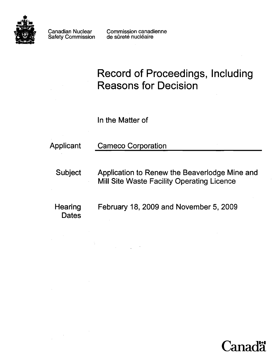

Safety Commission

Canadian Nuclear Commission canadienne<br>Safety Commission de sûreté nucléaire

# Record of Proceedings, Including Reasons for Decision

In the Matter of

# Applicant Cameco Corporation

Subject Application to Renew the Beaverlodge Mine and Mill Site Waste Facility Operating Licence

**Dates** 

Hearing February 18, 2009 and November 5, 2009

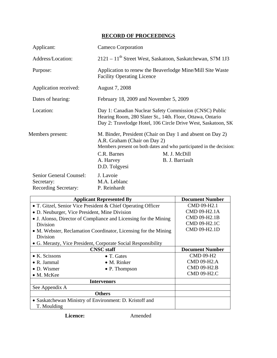## **RECORD OF PROCEEDINGS**

| Applicant:                                                           | Cameco Corporation                                                                                                                                                                     |                                                                                                                                                                     |  |
|----------------------------------------------------------------------|----------------------------------------------------------------------------------------------------------------------------------------------------------------------------------------|---------------------------------------------------------------------------------------------------------------------------------------------------------------------|--|
| Address/Location:                                                    | 2121 - 11 <sup>th</sup> Street West, Saskatoon, Saskatchewan, S7M 1J3                                                                                                                  |                                                                                                                                                                     |  |
| Purpose:                                                             | Application to renew the Beaverlodge Mine/Mill Site Waste<br><b>Facility Operating Licence</b>                                                                                         |                                                                                                                                                                     |  |
| Application received:                                                | August 7, 2008                                                                                                                                                                         |                                                                                                                                                                     |  |
| Dates of hearing:                                                    | February 18, 2009 and November 5, 2009                                                                                                                                                 |                                                                                                                                                                     |  |
| Location:                                                            | Day 1: Canadian Nuclear Safety Commission (CNSC) Public<br>Hearing Room, 280 Slater St., 14th. Floor, Ottawa, Ontario<br>Day 2: Travelodge Hotel, 106 Circle Drive West, Saskatoon, SK |                                                                                                                                                                     |  |
| Members present:                                                     | A.R. Graham (Chair on Day 2)<br>C.R. Barnes<br>A. Harvey<br>D.D. Tolgyesi                                                                                                              | M. Binder, President (Chair on Day 1 and absent on Day 2)<br>Members present on both dates and who participated in the decision:<br>M. J. McDill<br>B. J. Barriault |  |
| Senior General Counsel:<br>Secretary:<br><b>Recording Secretary:</b> | J. Lavoie<br>M.A. Leblanc<br>P. Reinhardt                                                                                                                                              |                                                                                                                                                                     |  |

| <b>Applicant Represented By</b>                                  |                       | <b>Document Number</b> |
|------------------------------------------------------------------|-----------------------|------------------------|
| • T. Gitzel, Senior Vice President & Chief Operating Officer     |                       | CMD 09-H2.1            |
| • D. Neuburger, Vice President, Mine Division                    |                       | CMD 09-H2.1A           |
| • J. Alonso, Director of Compliance and Licensing for the Mining |                       | CMD 09-H2.1B           |
| Division                                                         |                       | CMD 09-H2.1C           |
| • M. Webster, Reclamation Coordinator, Licensing for the Mining  |                       | CMD 09-H2.1D           |
| Division                                                         |                       |                        |
| • G. Merasty, Vice President, Corporate Social Responsibility    |                       |                        |
|                                                                  | <b>CNSC</b> staff     | <b>Document Number</b> |
| $\bullet$ K. Scissons                                            | $\bullet$ T. Gates    | <b>CMD 09-H2</b>       |
| $\bullet$ R. Jammal                                              | $\bullet$ M. Rinker   | <b>CMD 09-H2.A</b>     |
| $\bullet$ D. Wismer                                              | $\bullet$ P. Thompson | <b>CMD 09-H2.B</b>     |
| • M. McKee                                                       |                       | CMD 09-H2.C            |
| <b>Intervenors</b>                                               |                       |                        |
| See Appendix A                                                   |                       |                        |
| <b>Others</b>                                                    |                       |                        |
| • Saskatchewan Ministry of Environment: D. Kristoff and          |                       |                        |
| T. Moulding                                                      |                       |                        |

**Licence:** Amended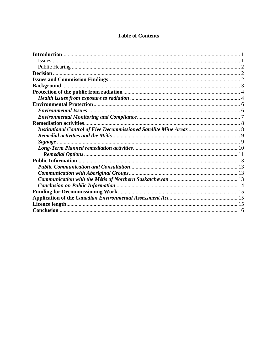### **Table of Contents**

| <b>Remediation activities.</b> |  |
|--------------------------------|--|
|                                |  |
|                                |  |
|                                |  |
|                                |  |
|                                |  |
|                                |  |
|                                |  |
|                                |  |
|                                |  |
|                                |  |
|                                |  |
|                                |  |
|                                |  |
|                                |  |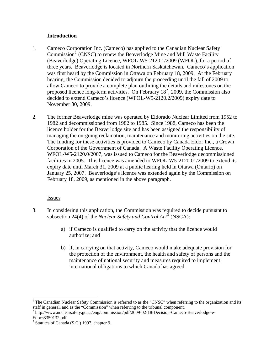#### **Introduction**

- <span id="page-3-0"></span>1. Cameco Corporation Inc. (Cameco) has applied to the Canadian Nuclear Safety Commission<sup>[1](#page-3-1)</sup> (CNSC) to renew the Beaverlodge Mine and Mill Waste Facility (Beaverlodge) Operating Licence, WFOL-W5-2120.1/2009 (WFOL), for a period of three years. Beaverlodge is located in Northern Saskatchewan. Cameco's application was first heard by the Commission in Ottawa on February 18, 2009. At the February hearing, the Commission decided to adjourn the proceeding until the fall of 2009 to allow Cameco to provide a complete plan outlining the details and milestones on the proposed licence long-term activities. On February  $18^2$  $18^2$ , 2009, the Commission also decided to extend Cameco's licence (WFOL-W5-2120.2/2009) expiry date to November 30, 2009.
- 2. The former Beaverlodge mine was operated by Eldorado Nuclear Limited from 1952 to 1982 and decommissioned from 1982 to 1985. Since 1988, Cameco has been the licence holder for the Beaverlodge site and has been assigned the responsibility of managing the on-going reclamation, maintenance and monitoring activities on the site. The funding for these activities is provided to Cameco by Canada Eldor Inc., a Crown Corporation of the Government of Canada. A Waste Facility Operating Licence, WFOL-W5-2120.0/2007, was issued to Cameco for the Beaverlodge decommissioned facilities in 2005. This licence was amended to WFOL-W5-2120.01/2009 to extend its expiry date until March 31, 2009 at a public hearing held in Ottawa (Ontario) on January 25, 2007. Beaverlodge's licence was extended again by the Commission on February 18, 2009, as mentioned in the above paragraph.

#### **Issues**

 $\overline{a}$ 

- 3. In considering this application, the Commission was required to decide pursuant to subsection 24(4) of the *Nuclear Safety and Control Act*<sup>[3](#page-3-3)</sup> (NSCA):
	- a) if Cameco is qualified to carry on the activity that the licence would authorize; and
	- b) if, in carrying on that activity, Cameco would make adequate provision for the protection of the environment, the health and safety of persons and the maintenance of national security and measures required to implement international obligations to which Canada has agreed.

<span id="page-3-1"></span><sup>&</sup>lt;sup>1</sup> The Canadian Nuclear Safety Commission is referred to as the "CNSC" when referring to the organization and its staff in general, and as the "Commission" when referring to the tribunal component.

<span id="page-3-2"></span><sup>&</sup>lt;sup>2</sup> http://www.nuclearsafety.gc.ca/eng/commission/pdf/2009-02-18-Decision-Cameco-Beaverlodge-e-Edocs3350132.pdf

<span id="page-3-3"></span><sup>&</sup>lt;sup>3</sup> Statutes of Canada (S.C.) 1997, chapter 9.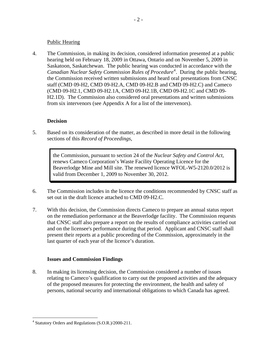#### Public Hearing

<span id="page-4-0"></span>4. The Commission, in making its decision, considered information presented at a public hearing held on February 18, 2009 in Ottawa, Ontario and on November 5, 2009 in Saskatoon, Saskatchewan. The public hearing was conducted in accordance with the Canadian Nuclear Safety Commission Rules of Procedure<sup>[4](#page-4-1)</sup>. During the public hearing, the Commission received written submissions and heard oral presentations from CNSC staff (CMD 09-H2, CMD 09-H2.A, CMD 09-H2.B and CMD 09-H2.C) and Cameco (CMD 09-H2.1, CMD 09-H2.1A, CMD 09-H2.1B, CMD 09-H2.1C and CMD 09- H2.1D). The Commission also considered oral presentations and written submissions from six intervenors (see Appendix A for a list of the intervenors).

#### **Decision**

5. Based on its consideration of the matter, as described in more detail in the following sections of this *Record of Proceedings*,

> the Commission, pursuant to section 24 of the *Nuclear Safety and Control Act*, renews Cameco Corporation's Waste Facility Operating Licence for the Beaverlodge Mine and Mill site. The renewed licence WFOL-W5-2120.0/2012 is valid from December 1, 2009 to November 30, 2012.

- 6. The Commission includes in the licence the conditions recommended by CNSC staff as set out in the draft licence attached to CMD 09-H2.C.
- 7. With this decision, the Commission directs Cameco to prepare an annual status report on the remediation performance at the Beaverlodge facility. The Commission requests that CNSC staff also prepare a report on the results of compliance activities carried out and on the licensee's performance during that period. Applicant and CNSC staff shall present their reports at a public proceeding of the Commission, approximately in the last quarter of each year of the licence's duration.

#### **Issues and Commission Findings**

8. In making its licensing decision, the Commission considered a number of issues relating to Cameco's qualification to carry out the proposed activities and the adequacy of the proposed measures for protecting the environment, the health and safety of persons, national security and international obligations to which Canada has agreed.

<u>.</u>

<span id="page-4-1"></span><sup>&</sup>lt;sup>4</sup> Statutory Orders and Regulations (S.O.R.)/2000-211.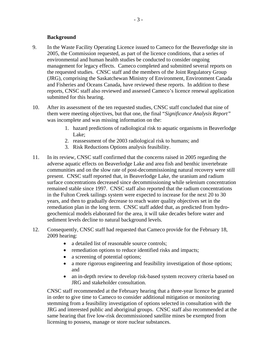#### **Background**

- <span id="page-5-0"></span>9. In the Waste Facility Operating Licence issued to Cameco for the Beaverlodge site in 2005, the Commission requested, as part of the licence conditions, that a series of environmental and human health studies be conducted to consider ongoing management for legacy effects. Cameco completed and submitted several reports on the requested studies. CNSC staff and the members of the Joint Regulatory Group (JRG), comprising the Saskatchewan Ministry of Environment, Environment Canada and Fisheries and Oceans Canada, have reviewed these reports. In addition to these reports, CNSC staff also reviewed and assessed Cameco's licence renewal application submitted for this hearing.
- 10. After its assessment of the ten requested studies, CNSC staff concluded that nine of them were meeting objectives, but that one, the final "*Significance Analysis Report"* was incomplete and was missing information on the:
	- 1. hazard predictions of radiological risk to aquatic organisms in Beaverlodge Lake;
	- 2. reassessment of the 2003 radiological risk to humans; and
	- 3. Risk Reductions Options analysis feasibility.
- 11. In its review, CNSC staff confirmed that the concerns raised in 2005 regarding the adverse aquatic effects on Beaverlodge Lake and area fish and benthic invertebrate communities and on the slow rate of post-decommissioning natural recovery were still present. CNSC staff reported that, in Beaverlodge Lake, the uranium and radium surface concentrations decreased since decommissioning while selenium concentration remained stable since 1997. CNSC staff also reported that the radium concentrations in the Fulton Creek tailings system were expected to increase for the next 20 to 30 years, and then to gradually decrease to reach water quality objectives set in the remediation plan in the long term. CNSC staff added that, as predicted from hydrogeochemical models elaborated for the area, it will take decades before water and sediment levels decline to natural background levels.
- 12. Consequently, CNSC staff had requested that Cameco provide for the February 18, 2009 hearing:
	- a detailed list of reasonable source controls;
	- remediation options to reduce identified risks and impacts;
	- a screening of potential options;
	- a more rigorous engineering and feasibility investigation of those options; and
	- an in-depth review to develop risk-based system recovery criteria based on JRG and stakeholder consultation.

CNSC staff recommended at the February hearing that a three-year licence be granted in order to give time to Cameco to consider additional mitigation or monitoring stemming from a feasibility investigation of options selected in consultation with the JRG and interested public and aboriginal groups. CNSC staff also recommended at the same hearing that five low-risk decommissioned satellite mines be exempted from licensing to possess, manage or store nuclear substances.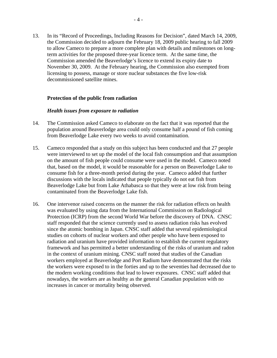<span id="page-6-0"></span>13. In its "Record of Proceedings, Including Reasons for Decision", dated March 14, 2009, the Commission decided to adjourn the February 18, 2009 public hearing to fall 2009 to allow Cameco to prepare a more complete plan with details and milestones on longterm activities for the proposed three-year licence term. At the same time, the Commission amended the Beaverlodge's licence to extend its expiry date to November 30, 2009. At the February hearing*,* the Commission also exempted from licensing to possess, manage or store nuclear substances the five low-risk decommissioned satellite mines.

#### **Protection of the public from radiation**

#### *Health issues from exposure to radiation*

- 14. The Commission asked Cameco to elaborate on the fact that it was reported that the population around Beaverlodge area could only consume half a pound of fish coming from Beaverlodge Lake every two weeks to avoid contamination.
- 15. Cameco responded that a study on this subject has been conducted and that 27 people were interviewed to set up the model of the local fish consumption and that assumption on the amount of fish people could consume were used in the model. Cameco noted that, based on the model, it would be reasonable for a person on Beaverlodge Lake to consume fish for a three-month period during the year. Cameco added that further discussions with the locals indicated that people typically do not eat fish from Beaverlodge Lake but from Lake Athabasca so that they were at low risk from being contaminated from the Beaverlodge Lake fish.
- 16. One intervenor raised concerns on the manner the risk for radiation effects on health was evaluated by using data from the International Commission on Radiological Protection (ICRP) from the second World War before the discovery of DNA. CNSC staff responded that the science currently used to assess radiation risks has evolved since the atomic bombing in Japan. CNSC staff added that several epidemiological studies on cohorts of nuclear workers and other people who have been exposed to radiation and uranium have provided information to establish the current regulatory framework and has permitted a better understanding of the risks of uranium and radon in the context of uranium mining. CNSC staff noted that studies of the Canadian workers employed at Beaverlodge and Port Radium have demonstrated that the risks the workers were exposed to in the forties and up to the seventies had decreased due to the modern working conditions that lead to lower exposures. CNSC staff added that nowadays, the workers are as healthy as the general Canadian population with no increases in cancer or mortality being observed.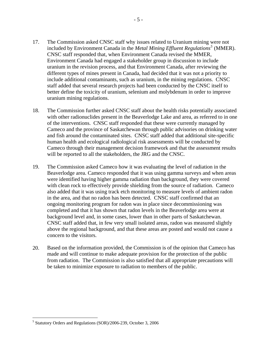- 17. The Commission asked CNSC staff why issues related to Uranium mining were not included by Environment Canada in the *Metal Mining Effluent Regulations[5](#page-7-0)* (MMER). CNSC staff responded that, when Environment Canada revised the MMER*,* Environment Canada had engaged a stakeholder group in discussion to include uranium in the revision process, and that Environment Canada, after reviewing the different types of mines present in Canada, had decided that it was not a priority to include additional contaminants, such as uranium, in the mining regulations. CNSC staff added that several research projects had been conducted by the CNSC itself to better define the toxicity of uranium, selenium and molybdenum in order to improve uranium mining regulations.
- 18. The Commission further asked CNSC staff about the health risks potentially associated with other radionuclides present in the Beaverlodge Lake and area, as referred to in one of the interventions. CNSC staff responded that these were currently managed by Cameco and the province of Saskatchewan through public advisories on drinking water and fish around the contaminated sites. CNSC staff added that additional site-specific human health and ecological radiological risk assessments will be conducted by Cameco through their management decision framework and that the assessment results will be reported to all the stakeholders, the JRG and the CNSC.
- 19. The Commission asked Cameco how it was evaluating the level of radiation in the Beaverlodge area. Cameco responded that it was using gamma surveys and when areas were identified having higher gamma radiation than background, they were covered with clean rock to effectively provide shielding from the source of radiation. Cameco also added that it was using track etch monitoring to measure levels of ambient radon in the area, and that no radon has been detected. CNSC staff confirmed that an ongoing monitoring program for radon was in place since decommissioning was completed and that it has shown that radon levels in the Beaverlodge area were at background level and, in some cases, lower than in other parts of Saskatchewan. CNSC staff added that, in few very small isolated areas, radon was measured slightly above the regional background, and that these areas are posted and would not cause a concern to the visitors.
- 20. Based on the information provided, the Commission is of the opinion that Cameco has made and will continue to make adequate provision for the protection of the public from radiation. The Commission is also satisfied that all appropriate precautions will be taken to minimize exposure to radiation to members of the public.

 $\overline{a}$ 

<span id="page-7-0"></span><sup>5</sup> Statutory Orders and Regulations (SOR)/2006-239, October 3, 2006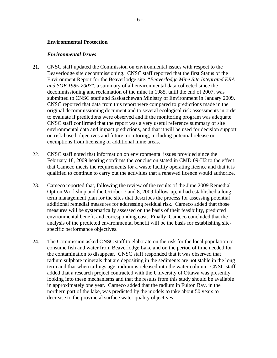#### <span id="page-8-0"></span>**Environmental Protection**

#### *Environmental Issues*

- 21. CNSC staff updated the Commission on environmental issues with respect to the Beaverlodge site decommissioning. CNSC staff reported that the first Status of the Environment Report for the Beaverlodge site, "*Beaverlodge Mine Site Integrated ERA and SOE 1985-2007*", a summary of all environmental data collected since the decommissioning and reclamation of the mine in 1985, until the end of 2007, was submitted to CNSC staff and Saskatchewan Ministry of Environment in January 2009. CNSC reported that data from this report were compared to predictions made in the original decommissioning document and to several ecological risk assessments in order to evaluate if predictions were observed and if the monitoring program was adequate. CNSC staff confirmed that the report was a very useful reference summary of site environmental data and impact predictions, and that it will be used for decision support on risk-based objectives and future monitoring, including potential release or exemptions from licensing of additional mine areas.
- 22. CNSC staff noted that information on environmental issues provided since the February 18, 2009 hearing confirms the conclusion stated in CMD 09-H2 to the effect that Cameco meets the requirements for a waste facility operating licence and that it is qualified to continue to carry out the activities that a renewed licence would authorize.
- 23. Cameco reported that, following the review of the results of the June 2009 Remedial Option Workshop and the October 7 and 8, 2009 follow-up, it had established a longterm management plan for the sites that describes the process for assessing potential additional remedial measures for addressing residual risk. Cameco added that those measures will be systematically assessed on the basis of their feasibility, predicted environmental benefit and corresponding cost. Finally, Cameco concluded that the analysis of the predicted environmental benefit will be the basis for establishing sitespecific performance objectives.
- 24. The Commission asked CNSC staff to elaborate on the risk for the local population to consume fish and water from Beaverlodge Lake and on the period of time needed for the contamination to disappear. CNSC staff responded that it was observed that radium sulphate minerals that are depositing in the sediments are not stable in the long term and that when tailings age, radium is released into the water column. CNSC staff added that a research project contracted with the University of Ottawa was presently looking into these mechanisms and that the results from this study should be available in approximately one year. Cameco added that the radium in Fulton Bay, in the northern part of the lake, was predicted by the models to take about 50 years to decrease to the provincial surface water quality objectives.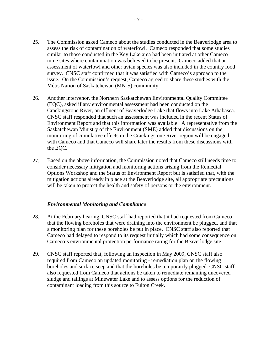- <span id="page-9-0"></span>25. The Commission asked Cameco about the studies conducted in the Beaverlodge area to assess the risk of contamination of waterfowl. Cameco responded that some studies similar to those conducted in the Key Lake area had been initiated at other Cameco mine sites where contamination was believed to be present. Cameco added that an assessment of waterfowl and other avian species was also included in the country food survey. CNSC staff confirmed that it was satisfied with Cameco's approach to the issue. On the Commission's request, Cameco agreed to share these studies with the Métis Nation of Saskatchewan (MN-S) community.
- 26. Another intervenor, the Northern Saskatchewan Environmental Quality Committee (EQC), asked if any environmental assessment had been conducted on the Crackingstone River, an effluent of Beaverlodge Lake that flows into Lake Athabasca. CNSC staff responded that such an assessment was included in the recent Status of Environment Report and that this information was available. A representative from the Saskatchewan Ministry of the Environment (SME) added that discussions on the monitoring of cumulative effects in the Crackingstone River region will be engaged with Cameco and that Cameco will share later the results from these discussions with the EQC.
- 27. Based on the above information, the Commission noted that Cameco still needs time to consider necessary mitigation and monitoring actions arising from the Remedial Options Workshop and the Status of Environment Report but is satisfied that, with the mitigation actions already in place at the Beaverlodge site, all appropriate precautions will be taken to protect the health and safety of persons or the environment.

#### *Environmental Monitoring and Compliance*

- 28. At the February hearing, CNSC staff had reported that it had requested from Cameco that the flowing boreholes that were draining into the environment be plugged, and that a monitoring plan for these boreholes be put in place. CNSC staff also reported that Cameco had delayed to respond to its request initially which had some consequence on Cameco's environmental protection performance rating for the Beaverlodge site.
- 29. CNSC staff reported that, following an inspection in May 2009, CNSC staff also required from Cameco an updated monitoring - remediation plan on the flowing boreholes and surface seep and that the boreholes be temporarily plugged. CNSC staff also requested from Cameco that actions be taken to remediate remaining uncovered sludge and tailings at Minewater Lake and to assess options for the reduction of contaminant loading from this source to Fulton Creek.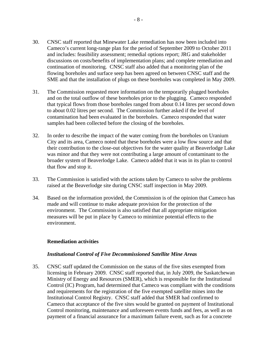- <span id="page-10-0"></span>30. CNSC staff reported that Minewater Lake remediation has now been included into Cameco's current long-range plan for the period of September 2009 to October 2011 and includes: feasibility assessment; remedial options report; JRG and stakeholder discussions on costs/benefits of implementation plans; and complete remediation and continuation of monitoring. CNSC staff also added that a monitoring plan of the flowing boreholes and surface seep has been agreed on between CNSC staff and the SME and that the installation of plugs on these boreholes was completed in May 2009.
- 31. The Commission requested more information on the temporarily plugged boreholes and on the total outflow of these boreholes prior to the plugging. Cameco responded that typical flows from those boreholes ranged from about 0.14 litres per second down to about 0.02 litres per second. The Commission further asked if the level of contamination had been evaluated in the boreholes. Cameco responded that water samples had been collected before the closing of the boreholes.
- 32. In order to describe the impact of the water coming from the boreholes on Uranium City and its area, Cameco noted that these boreholes were a low flow source and that their contribution to the close-out objectives for the water quality at Beaverlodge Lake was minor and that they were not contributing a large amount of contaminant to the broader system of Beaverlodge Lake. Cameco added that it was in its plan to control that flow and stop it.
- 33. The Commission is satisfied with the actions taken by Cameco to solve the problems raised at the Beaverlodge site during CNSC staff inspection in May 2009.
- 34. Based on the information provided, the Commission is of the opinion that Cameco has made and will continue to make adequate provision for the protection of the environment. The Commission is also satisfied that all appropriate mitigation measures will be put in place by Cameco to minimize potential effects to the environment.

#### **Remediation activities**

#### *Institutional Control of Five Decommissioned Satellite Mine Areas*

35. CNSC staff updated the Commission on the status of the five sites exempted from licensing in February 2009. CNSC staff reported that, in July 2009, the Saskatchewan Ministry of Energy and Resources (SMER), which is responsible for the Institutional Control (IC) Program, had determined that Cameco was compliant with the conditions and requirements for the registration of the five exempted satellite mines into the Institutional Control Registry. CNSC staff added that SMER had confirmed to Cameco that acceptance of the five sites would be granted on payment of Institutional Control monitoring, maintenance and unforeseen events funds and fees, as well as on payment of a financial assurance for a maximum failure event, such as for a concrete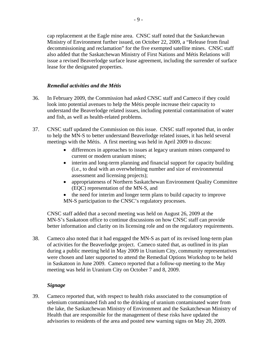<span id="page-11-0"></span>cap replacement at the Eagle mine area. CNSC staff noted that the Saskatchewan Ministry of Environment further issued, on October 22, 2009, a "Release from final decommissioning and reclamation" for the five exempted satellite mines. CNSC staff also added that the Saskatchewan Ministry of First Nations and Métis Relations will issue a revised Beaverlodge surface lease agreement, including the surrender of surface lease for the designated properties.

#### *Remedial activities and the Métis*

- 36. In February 2009, the Commission had asked CNSC staff and Cameco if they could look into potential avenues to help the Métis people increase their capacity to understand the Beaverlodge related issues, including potential contamination of water and fish, as well as health-related problems.
- 37. CNSC staff updated the Commission on this issue. CNSC staff reported that, in order to help the MN-S to better understand Beaverlodge related issues, it has held several meetings with the Métis. A first meeting was held in April 2009 to discuss:
	- differences in approaches to issues at legacy uranium mines compared to current or modern uranium mines;
	- interim and long-term planning and financial support for capacity building (i.e., to deal with an overwhelming number and size of environmental assessment and licensing projects);
	- appropriateness of Northern Saskatchewan Environment Quality Committee (EQC) representation of the MN-S, and
	- the need for interim and longer term plans to build capacity to improve MN-S participation to the CNSC's regulatory processes.

CNSC staff added that a second meeting was held on August 26, 2009 at the MN-S's Saskatoon office to continue discussions on how CNSC staff can provide better information and clarity on its licensing role and on the regulatory requirements.

38. Cameco also noted that it had engaged the MN-S as part of its revised long-term plan of activities for the Beaverlodge project. Cameco stated that, as outlined in its plan during a public meeting held in May 2009 in Uranium City, community representatives were chosen and later supported to attend the Remedial Options Workshop to be held in Saskatoon in June 2009. Cameco reported that a follow-up meeting to the May meeting was held in Uranium City on October 7 and 8, 2009.

#### *Signage*

39. Cameco reported that, with respect to health risks associated to the consumption of selenium contaminated fish and to the drinking of uranium contaminated water from the lake, the Saskatchewan Ministry of Environment and the Saskatchewan Ministry of Health that are responsible for the management of these risks have updated the advisories to residents of the area and posted new warning signs on May 20, 2009.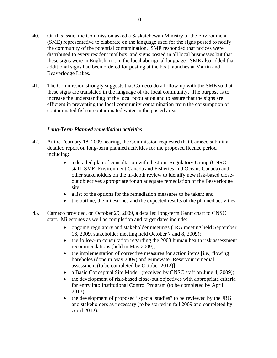- <span id="page-12-0"></span>40. On this issue, the Commission asked a Saskatchewan Ministry of the Environment (SME) representative to elaborate on the language used for the signs posted to notify the community of the potential contamination. SME responded that notices were distributed to every resident mailbox, and signs posted in all local businesses but that these signs were in English, not in the local aboriginal language. SME also added that additional signs had been ordered for posting at the boat launches at Martin and Beaverlodge Lakes.
- 41. The Commission strongly suggests that Cameco do a follow-up with the SME so that these signs are translated in the language of the local community. The purpose is to increase the understanding of the local population and to assure that the signs are efficient in preventing the local community contamination from the consumption of contaminated fish or contaminated water in the posted areas.

#### *Long-Term Planned remediation activities*

- 42. At the February 18, 2009 hearing, the Commission requested that Cameco submit a detailed report on long-term planned activities for the proposed licence period including:
	- a detailed plan of consultation with the Joint Regulatory Group (CNSC) staff, SME, Environment Canada and Fisheries and Oceans Canada) and other stakeholders on the in-depth review to identify new risk-based closeout objectives appropriate for an adequate remediation of the Beaverlodge site;
	- a list of the options for the remediation measures to be taken; and
	- the outline, the milestones and the expected results of the planned activities.
- 43. Cameco provided, on October 29, 2009, a detailed long-term Gantt chart to CNSC staff. Milestones as well as completion and target dates include:
	- ongoing regulatory and stakeholder meetings (JRG meeting held September 16, 2009, stakeholder meeting held October 7 and 8, 2009);
	- the follow-up consultation regarding the 2003 human health risk assessment recommendations (held in May 2009);
	- the implementation of corrective measures for action items [i.e., flowing boreholes (done in May 2009) and Minewater Reservoir remedial assessment (to be completed by October 2012)];
	- a Basic Conceptual Site Model (received by CNSC staff on June 4, 2009);
	- the development of risk-based close-out objectives with appropriate criteria for entry into Institutional Control Program (to be completed by April 2013);
	- the development of proposed "special studies" to be reviewed by the JRG and stakeholders as necessary (to be started in fall 2009 and completed by April 2012);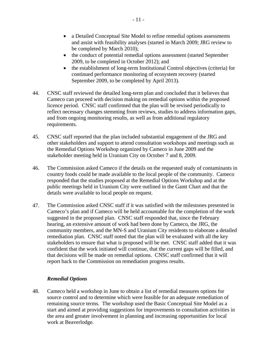- <span id="page-13-0"></span>• a Detailed Conceptual Site Model to refine remedial options assessments and assist with feasibility analyses (started in March 2009; JRG review to be completed by March 2010);
- the conduct of potential remedial options assessment (started September 2009, to be completed in October 2012); and
- the establishment of long-term Institutional Control objectives (criteria) for continued performance monitoring of ecosystem recovery (started September 2009, to be completed by April 2013).
- 44. CNSC staff reviewed the detailed long-term plan and concluded that it believes that Cameco can proceed with decision making on remedial options within the proposed licence period. CNSC staff confirmed that the plan will be revised periodically to reflect necessary changes stemming from reviews, studies to address information gaps, and from ongoing monitoring results, as well as from additional regulatory requirements.
- 45. CNSC staff reported that the plan included substantial engagement of the JRG and other stakeholders and support to attend consultation workshops and meetings such as the Remedial Options Workshop organized by Cameco in June 2009 and the stakeholder meeting held in Uranium City on October 7 and 8, 2009.
- 46. The Commission asked Cameco if the details on the requested study of contaminants in country foods could be made available to the local people of the community. Cameco responded that the studies proposed at the Remedial Options Workshop and at the public meetings held in Uranium City were outlined in the Gantt Chart and that the details were available to local people on request.
- 47. The Commission asked CNSC staff if it was satisfied with the milestones presented in Cameco's plan and if Cameco will be held accountable for the completion of the work suggested in the proposed plan. CNSC staff responded that, since the February hearing, an extensive amount of work had been done by Cameco, the JRG, the community members, and the MN-S and Uranium City residents to elaborate a detailed remediation plan. CNSC staff noted that the plan will be evaluated with all the key stakeholders to ensure that what is proposed will be met. CNSC staff added that it was confident that the work initiated will continue, that the current gaps will be filled, and that decisions will be made on remedial options. CNSC staff confirmed that it will report back to the Commission on remediation progress results.

#### *Remedial Options*

48. Cameco held a workshop in June to obtain a list of remedial measures options for source control and to determine which were feasible for an adequate remediation of remaining source terms. The workshop used the Basic Conceptual Site Model as a start and aimed at providing suggestions for improvements to consultation activities in the area and greater involvement in planning and increasing opportunities for local work at Beaverlodge.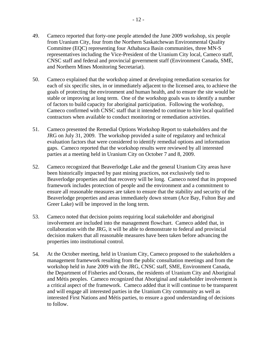- 49. Cameco reported that forty-one people attended the June 2009 workshop, six people from Uranium City, four from the Northern Saskatchewan Environmental Quality Committee (EQC) representing four Athabasca Basin communities, three MN-S representatives including the Vice-President of the Uranium City local, Cameco staff, CNSC staff and federal and provincial government staff (Environment Canada, SME, and Northern Mines Monitoring Secretariat).
- 50. Cameco explained that the workshop aimed at developing remediation scenarios for each of six specific sites, in or immediately adjacent to the licensed area, to achieve the goals of protecting the environment and human health, and to ensure the site would be stable or improving at long term. One of the workshop goals was to identify a number of factors to build capacity for aboriginal participation. Following the workshop, Cameco confirmed with CNSC staff that it intended to continue to hire local qualified contractors when available to conduct monitoring or remediation activities.
- 51. Cameco presented the Remedial Options Workshop Report to stakeholders and the JRG on July 31, 2009. The workshop provided a suite of regulatory and technical evaluation factors that were considered to identify remedial options and information gaps. Cameco reported that the workshop results were reviewed by all interested parties at a meeting held in Uranium City on October 7 and 8, 2009.
- 52. Cameco recognized that Beaverlodge Lake and the general Uranium City areas have been historically impacted by past mining practices, not exclusively tied to Beaverlodge properties and that recovery will be long. Cameco noted that its proposed framework includes protection of people and the environment and a commitment to ensure all reasonable measures are taken to ensure that the stability and security of the Beaverlodge properties and areas immediately down stream (Ace Bay, Fulton Bay and Greer Lake) will be improved in the long term.
- 53. Cameco noted that decision points requiring local stakeholder and aboriginal involvement are included into the management flowchart. Cameco added that, in collaboration with the JRG, it will be able to demonstrate to federal and provincial decision makers that all reasonable measures have been taken before advancing the properties into institutional control.
- 54. At the October meeting, held in Uranium City, Cameco proposed to the stakeholders a management framework resulting from the public consultation meetings and from the workshop held in June 2009 with the JRG, CNSC staff, SME, Environment Canada, the Department of Fisheries and Oceans, the residents of Uranium City and Aboriginal and Métis peoples. Cameco recognized that Aboriginal and stakeholder involvement is a critical aspect of the framework. Cameco added that it will continue to be transparent and will engage all interested parties in the Uranium City community as well as interested First Nations and Métis parties, to ensure a good understanding of decisions to follow.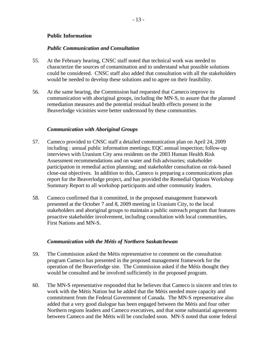#### <span id="page-15-0"></span>**Public Information**

#### *Public Communication and Consultation*

- 55. At the February hearing, CNSC staff noted that technical work was needed to characterize the sources of contamination and to understand what possible solutions could be considered. CNSC staff also added that consultation with all the stakeholders would be needed to develop these solutions and to agree on their feasibility.
- 56. At the same hearing, the Commission had requested that Cameco improve its communication with aboriginal groups, including the MN-S, to assure that the planned remediation measures and the potential residual health effects present in the Beaverlodge vicinities were better understood by these communities.

#### *Communication with Aboriginal Groups*

- 57. Cameco provided to CNSC staff a detailed communication plan on April 24, 2009 including : annual public information meetings; EQC annual inspection; follow-up interviews with Uranium City area residents on the 2003 Human Health Risk Assessment recommendations and on water and fish advisories; stakeholder participation in remedial action planning; and stakeholder consultation on risk-based close-out objectives. In addition to this, Cameco is preparing a communications plan report for the Beaverlodge project, and has provided the Remedial Options Workshop Summary Report to all workshop participants and other community leaders.
- 58. Cameco confirmed that it committed, in the proposed management framework presented at the October 7 and 8, 2009 meeting in Uranium City, to the local stakeholders and aboriginal groups to maintain a public outreach program that features proactive stakeholder involvement, including consultation with local communities, First Nations and MN-S.

#### *Communication with the Métis of Northern Saskatchewan*

- 59. The Commission asked the Métis representative to comment on the consultation program Cameco has presented in the proposed management framework for the operation of the Beaverlodge site. The Commission asked if the Métis thought they would be consulted and be involved sufficiently in the proposed program.
- 60. The MN-S representative responded that he believes that Cameco is sincere and tries to work with the Métis Nation but he added that the Métis needed more capacity and commitment from the Federal Government of Canada. The MN-S representative also added that a very good dialogue has been engaged between the Métis and four other Northern regions leaders and Cameco executives, and that some substantial agreements between Cameco and the Métis will be concluded soon. MN-S noted that some federal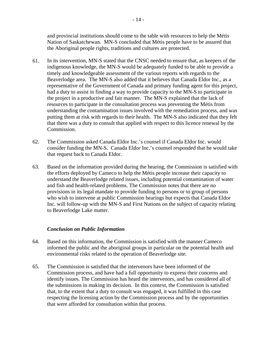<span id="page-16-0"></span>and provincial institutions should come to the table with resources to help the Métis Nation of Saskatchewan. MN-S concluded that Métis people have to be assured that the Aboriginal people rights, traditions and cultures are protected.

- 61. In its intervention, MN-S stated that the CNSC needed to ensure that, as keepers of the indigenous knowledge, the MN-S would be adequately funded to be able to provide a timely and knowledgeable assessment of the various reports with regards to the Beaverlodge area. The MN-S also added that it believes that Canada Eldor Inc., as a representative of the Government of Canada and primary funding agent for this project, had a duty to assist in finding a way to provide capacity to the MN-S to participate in the project in a productive and fair manner. The MN-S explained that the lack of resources to participate in the consultation process was preventing the Métis from understanding the contamination issues involved with the remediation process, and was putting them at risk with regards to their health. The MN-S also indicated that they felt that there was a duty to consult that applied with respect to this licence renewal by the Commission.
- 62. The Commission asked Canada Eldor Inc.'s counsel if Canada Eldor Inc. would consider funding the MN-S. Canada Eldor Inc.'s counsel responded that he would take that request back to Canada Eldor.
- 63. Based on the information provided during the hearing, the Commission is satisfied with the efforts deployed by Cameco to help the Métis people increase their capacity to understand the Beaverlodge related issues, including potential contamination of water and fish and health-related problems. The Commission notes that there are no provisions in its legal mandate to provide funding to persons or to group of persons who wish to intervene at public Commission hearings but expects that Canada Eldor Inc. will follow-up with the MN-S and First Nations on the subject of capacity relating to Beaverlodge Lake matter.

#### *Conclusion on Public Information*

- 64. Based on this information, the Commission is satisfied with the manner Cameco informed the public and the aboriginal groups in particular on the potential health and environmental risks related to the operation of Beaverlodge site.
- 65. The Commission is satisfied that the intervenors have been informed of the Commission process, and have had a full opportunity to express their concerns and identify issues. The Commission has heard the intervenors, and has considered all of the submissions in making its decision. In this context, the Commission is satisfied that, to the extent that a duty to consult was engaged, it was fulfilled in this case respecting the licensing action by the Commission process and by the opportunities that were afforded for consultation within that process.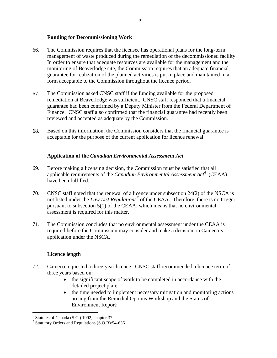#### **Funding for Decommissioning Work**

- <span id="page-17-0"></span>66. The Commission requires that the licensee has operational plans for the long-term management of waste produced during the remediation of the decommissioned facility. In order to ensure that adequate resources are available for the management and the monitoring of Beaverlodge site, the Commission requires that an adequate financial guarantee for realization of the planned activities is put in place and maintained in a form acceptable to the Commission throughout the licence period.
- 67. The Commission asked CNSC staff if the funding available for the proposed remediation at Beaverlodge was sufficient. CNSC staff responded that a financial guarantee had been confirmed by a Deputy Minister from the Federal Department of Finance. CNSC staff also confirmed that the financial guarantee had recently been reviewed and accepted as adequate by the Commission.
- 68. Based on this information, the Commission considers that the financial guarantee is acceptable for the purpose of the current application for licence renewal.

#### **Application of the** *Canadian Environmental Assessment Act*

- 69. Before making a licensing decision, the Commission must be satisfied that all applicable requirements of the *Canadian Environmental Assessment Act*[6](#page-17-1) (CEAA) have been fulfilled.
- 70. CNSC staff noted that the renewal of a licence under subsection 24(2) of the NSCA is not listed under the *Law List Regulations<sup>[7](#page-17-2)</sup>* of the CEAA. Therefore, there is no trigger pursuant to subsection 5(1) of the CEAA, which means that no environmental assessment is required for this matter.
- 71. The Commission concludes that no environmental assessment under the CEAA is required before the Commission may consider and make a decision on Cameco's application under the NSCA.

#### **Licence length**

- 72. Cameco requested a three-year licence. CNSC staff recommended a licence term of three years based on:
	- the significant scope of work to be completed in accordance with the detailed project plan;
	- the time needed to implement necessary mitigation and monitoring actions arising from the Remedial Options Workshop and the Status of Environment Report;

<sup>&</sup>lt;sup>6</sup> Statutes of Canada (S.C.) 1992, chapter 37.

<span id="page-17-2"></span><span id="page-17-1"></span><sup>7</sup> Statutory Orders and Regulations (S.O.R)/94-636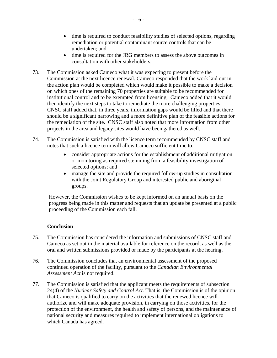- <span id="page-18-0"></span>• time is required to conduct feasibility studies of selected options, regarding remediation or potential contaminant source controls that can be undertaken; and
- time is required for the JRG members to assess the above outcomes in consultation with other stakeholders.
- 73. The Commission asked Cameco what it was expecting to present before the Commission at the next licence renewal. Cameco responded that the work laid out in the action plan would be completed which would make it possible to make a decision on which ones of the remaining 70 properties are suitable to be recommended for institutional control and to be exempted from licensing. Cameco added that it would then identify the next steps to take to remediate the more challenging properties. CNSC staff added that, in three years, information gaps would be filled and that there should be a significant narrowing and a more definitive plan of the feasible actions for the remediation of the site. CNSC staff also noted that more information from other projects in the area and legacy sites would have been gathered as well.
- 74. The Commission is satisfied with the licence term recommended by CNSC staff and notes that such a licence term will allow Cameco sufficient time to:
	- consider appropriate actions for the establishment of additional mitigation or monitoring as required stemming from a feasibility investigation of selected options; and
	- manage the site and provide the required follow-up studies in consultation with the Joint Regulatory Group and interested public and aboriginal groups.

However, the Commission wishes to be kept informed on an annual basis on the progress being made in this matter and requests that an update be presented at a public proceeding of the Commission each fall.

#### **Conclusion**

- 75. The Commission has considered the information and submissions of CNSC staff and Cameco as set out in the material available for reference on the record, as well as the oral and written submissions provided or made by the participants at the hearing.
- 76. The Commission concludes that an environmental assessment of the proposed continued operation of the facility, pursuant to the *Canadian Environmental Assessment Act* is not required.
- 77. The Commission is satisfied that the applicant meets the requirements of subsection 24(4) of the *Nuclear Safety and Control Act*. That is, the Commission is of the opinion that Cameco is qualified to carry on the activities that the renewed licence will authorize and will make adequate provision, in carrying on those activities, for the protection of the environment, the health and safety of persons, and the maintenance of national security and measures required to implement international obligations to which Canada has agreed.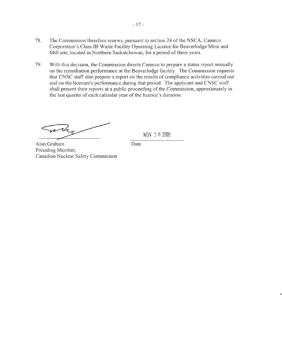- 78. The Commission therefore renews, pursuant to section 24 of the NSCA, Cameco Corporation's Class IB Waste Facility Operating Licence for Beaverlodge Mine and Mill site, located in Northern Saskatchewan, for a period of three years.
- 79. With this decision, the Commission directs Cameco to prepare a status report annually on the remediation performance at the Beaverlodge facility. The Commission requests that CNSC staff also prepare a report on the results of compliance activities carried out and on the licensee's performance during that period. The applicant and CNSC staff shall present their reports at a public proceeding of the Commission, approximately in the last quarter of each calendar year of the licence's duration.

Date

rela

NOV 3 0 2009

Alan Graham Presiding Member, Canadian Nuclear Safety Commission

- 17 -